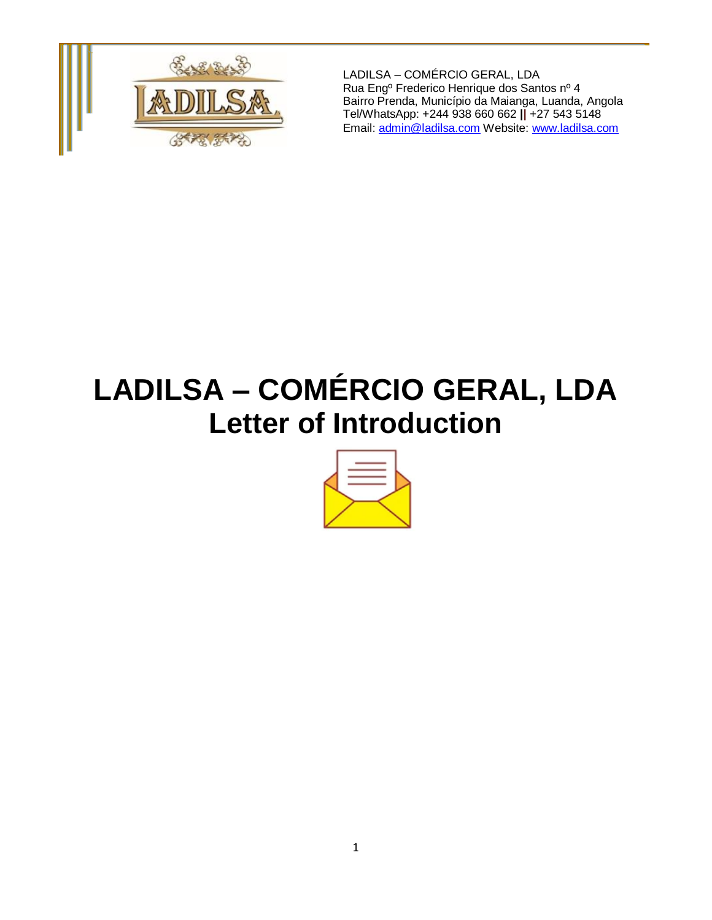

# **LADILSA – COMÉRCIO GERAL, LDA Letter of Introduction**

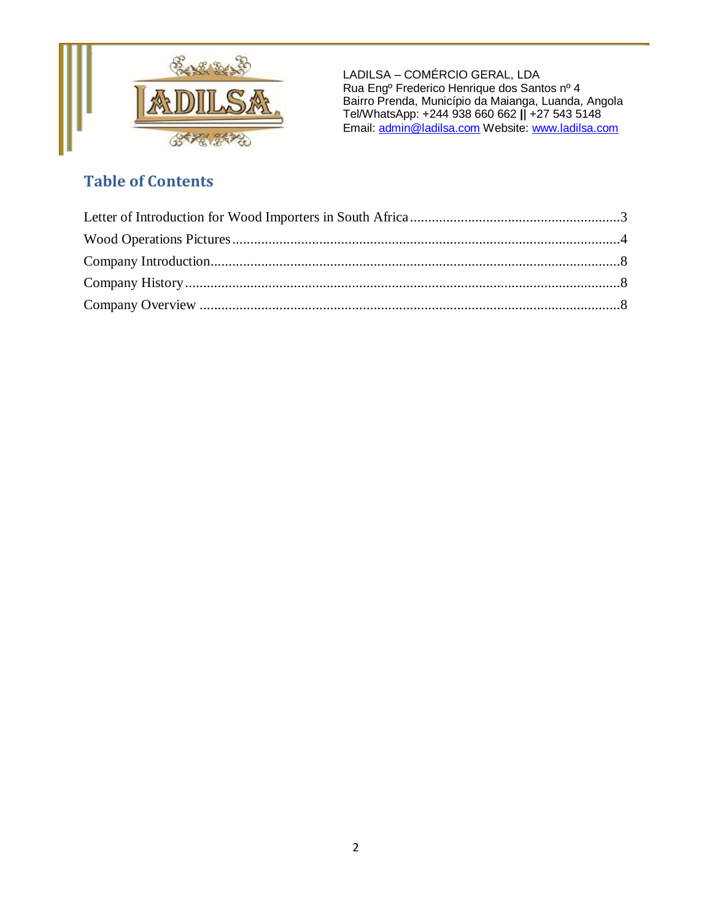

# **Table of Contents**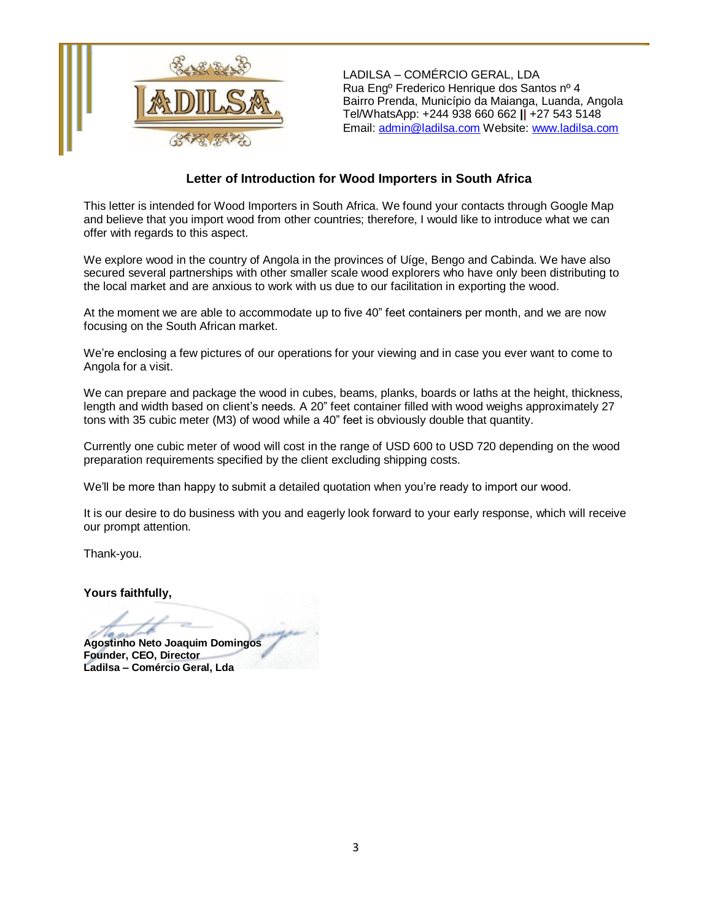

# **Letter of Introduction for Wood Importers in South Africa**

<span id="page-2-0"></span>This letter is intended for Wood Importers in South Africa. We found your contacts through Google Map and believe that you import wood from other countries; therefore, I would like to introduce what we can offer with regards to this aspect.

We explore wood in the country of Angola in the provinces of Uíge, Bengo and Cabinda. We have also secured several partnerships with other smaller scale wood explorers who have only been distributing to the local market and are anxious to work with us due to our facilitation in exporting the wood.

At the moment we are able to accommodate up to five 40" feet containers per month, and we are now focusing on the South African market.

We're enclosing a few pictures of our operations for your viewing and in case you ever want to come to Angola for a visit.

We can prepare and package the wood in cubes, beams, planks, boards or laths at the height, thickness, length and width based on client's needs. A 20" feet container filled with wood weighs approximately 27 tons with 35 cubic meter (M3) of wood while a 40" feet is obviously double that quantity.

Currently one cubic meter of wood will cost in the range of USD 600 to USD 720 depending on the wood preparation requirements specified by the client excluding shipping costs.

We'll be more than happy to submit a detailed quotation when you're ready to import our wood.

It is our desire to do business with you and eagerly look forward to your early response, which will receive our prompt attention.

Thank-you.

**Yours faithfully,**

**Agostinho Neto Joaquim Domingos**

**Founder, CEO, Director Ladilsa – Comércio Geral, Lda**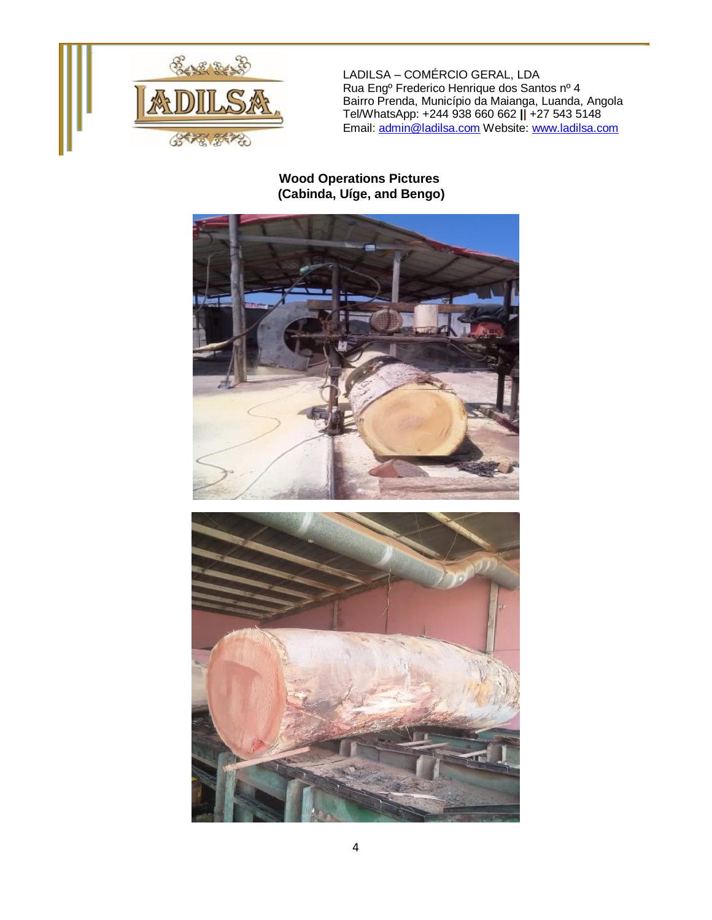

# **Wood Operations Pictures (Cabinda, Uíge, and Bengo)**

<span id="page-3-0"></span>

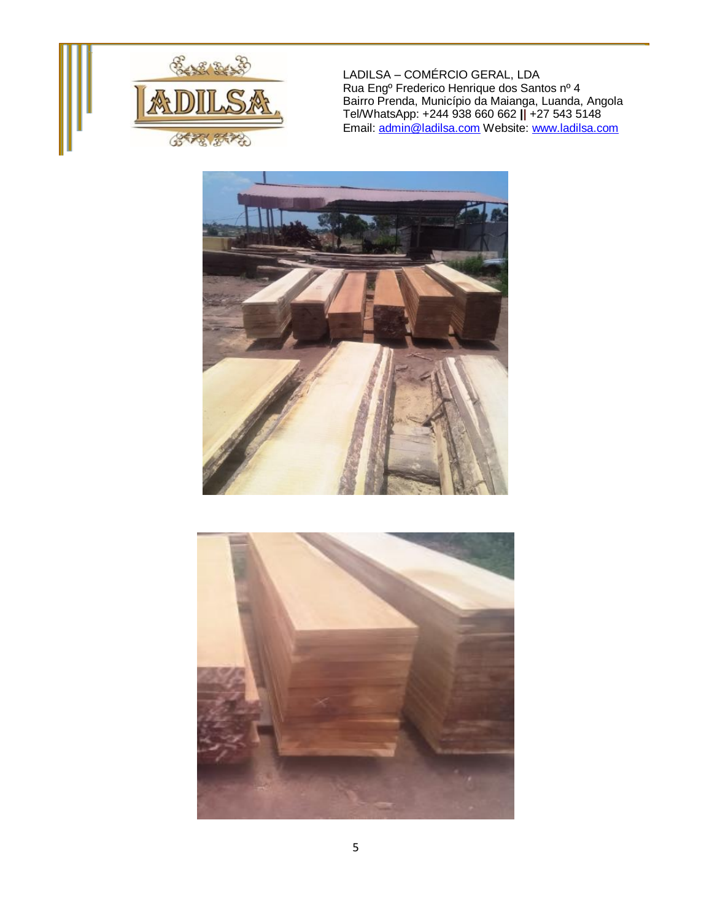



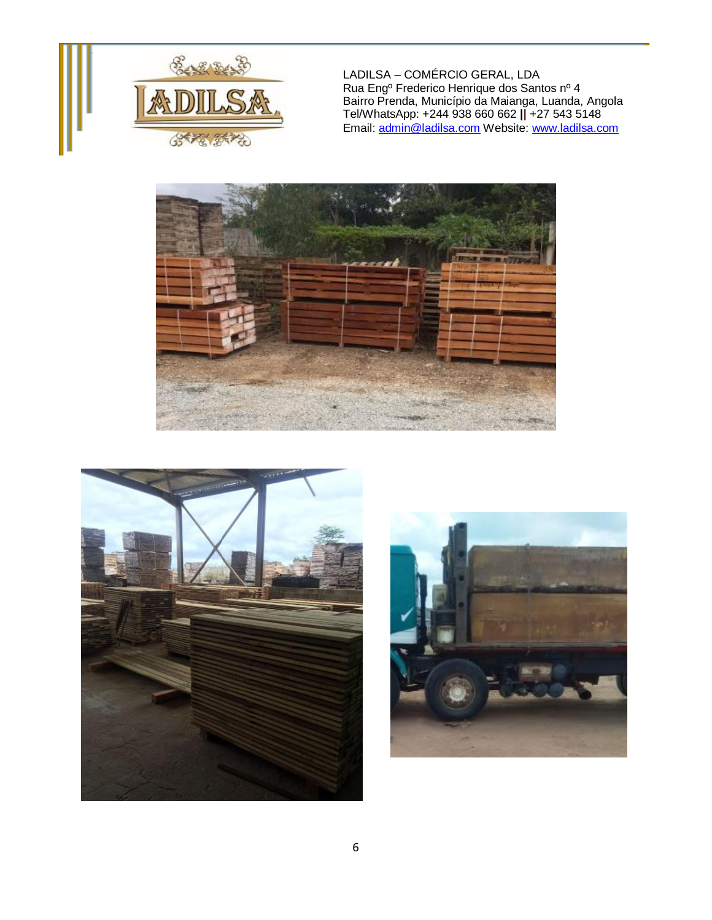





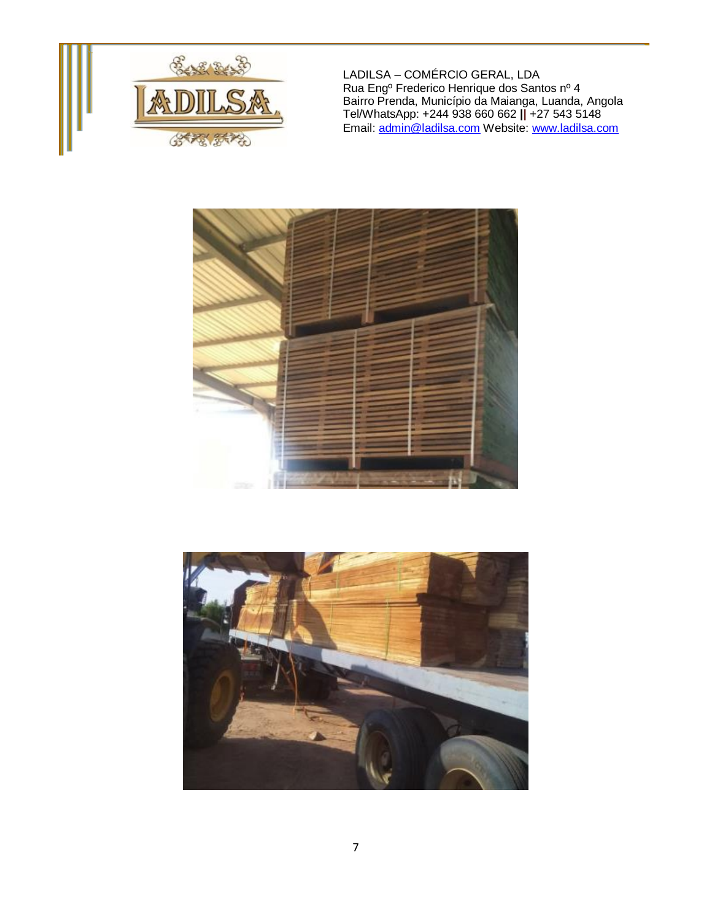



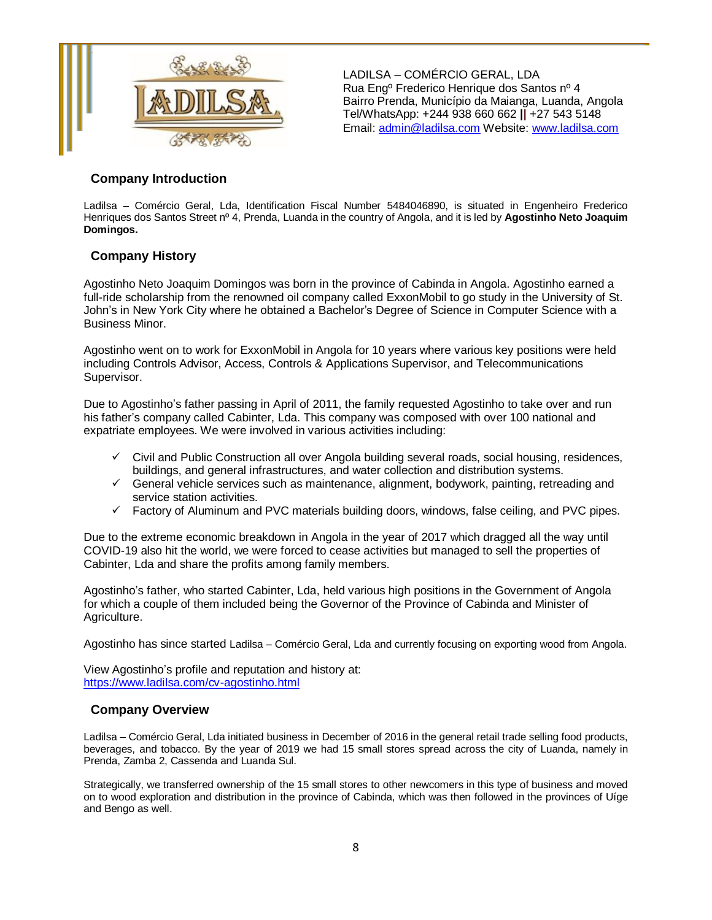

## <span id="page-7-0"></span>**Company Introduction**

Ladilsa – Comércio Geral, Lda, Identification Fiscal Number 5484046890, is situated in Engenheiro Frederico Henriques dos Santos Street nº 4, Prenda, Luanda in the country of Angola, and it is led by **Agostinho Neto Joaquim Domingos.** 

## <span id="page-7-1"></span>**Company History**

Agostinho Neto Joaquim Domingos was born in the province of Cabinda in Angola. Agostinho earned a full-ride scholarship from the renowned oil company called ExxonMobil to go study in the University of St. John's in New York City where he obtained a Bachelor's Degree of Science in Computer Science with a Business Minor.

Agostinho went on to work for ExxonMobil in Angola for 10 years where various key positions were held including Controls Advisor, Access, Controls & Applications Supervisor, and Telecommunications Supervisor.

Due to Agostinho's father passing in April of 2011, the family requested Agostinho to take over and run his father's company called Cabinter, Lda. This company was composed with over 100 national and expatriate employees. We were involved in various activities including:

- $\checkmark$  Civil and Public Construction all over Angola building several roads, social housing, residences, buildings, and general infrastructures, and water collection and distribution systems.
- $\checkmark$  General vehicle services such as maintenance, alignment, bodywork, painting, retreading and service station activities.
- $\checkmark$  Factory of Aluminum and PVC materials building doors, windows, false ceiling, and PVC pipes.

Due to the extreme economic breakdown in Angola in the year of 2017 which dragged all the way until COVID-19 also hit the world, we were forced to cease activities but managed to sell the properties of Cabinter, Lda and share the profits among family members.

Agostinho's father, who started Cabinter, Lda, held various high positions in the Government of Angola for which a couple of them included being the Governor of the Province of Cabinda and Minister of Agriculture.

Agostinho has since started Ladilsa – Comércio Geral, Lda and currently focusing on exporting wood from Angola.

View Agostinho's profile and reputation and history at: <https://www.ladilsa.com/cv-agostinho.html>

#### <span id="page-7-2"></span>**Company Overview**

Ladilsa – Comércio Geral, Lda initiated business in December of 2016 in the general retail trade selling food products, beverages, and tobacco. By the year of 2019 we had 15 small stores spread across the city of Luanda, namely in Prenda, Zamba 2, Cassenda and Luanda Sul.

Strategically, we transferred ownership of the 15 small stores to other newcomers in this type of business and moved on to wood exploration and distribution in the province of Cabinda, which was then followed in the provinces of Uíge and Bengo as well.